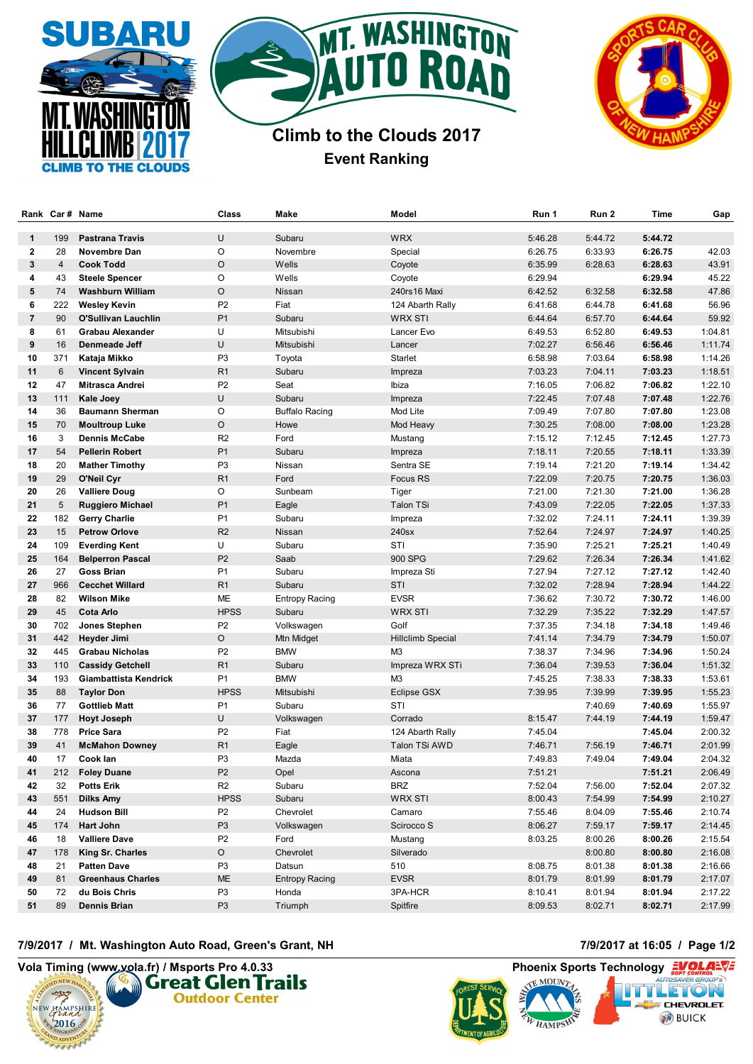





## **Climb to the Clouds 2017 Event Ranking**

|                | Rank Car# Name |                          | Class          | Make                  | Model             | Run 1   | Run 2   | Time    | Gap     |
|----------------|----------------|--------------------------|----------------|-----------------------|-------------------|---------|---------|---------|---------|
| $\mathbf{1}$   | 199            | <b>Pastrana Travis</b>   | U              | Subaru                | <b>WRX</b>        | 5:46.28 | 5:44.72 | 5:44.72 |         |
| $\mathbf{2}$   | 28             | Novembre Dan             | O              | Novembre              | Special           | 6:26.75 | 6:33.93 | 6:26.75 | 42.03   |
| 3              | $\overline{4}$ | <b>Cook Todd</b>         | O              | Wells                 | Coyote            | 6:35.99 | 6:28.63 | 6:28.63 | 43.91   |
| 4              | 43             | <b>Steele Spencer</b>    | O              | Wells                 | Coyote            | 6:29.94 |         | 6:29.94 | 45.22   |
| 5              | 74             | Washburn William         | O              | Nissan                | 240rs16 Maxi      | 6:42.52 | 6:32.58 | 6:32.58 | 47.86   |
| 6              | 222            | <b>Wesley Kevin</b>      | P2             | Fiat                  | 124 Abarth Rally  | 6:41.68 | 6:44.78 | 6:41.68 | 56.96   |
| $\overline{7}$ | 90             | O'Sullivan Lauchlin      | P <sub>1</sub> | Subaru                | <b>WRX STI</b>    | 6:44.64 | 6:57.70 | 6:44.64 | 59.92   |
| 8              | 61             | <b>Grabau Alexander</b>  | U              | Mitsubishi            | Lancer Evo        | 6:49.53 | 6:52.80 | 6:49.53 | 1:04.81 |
| 9              | 16             | Denmeade Jeff            | U              | Mitsubishi            | Lancer            | 7:02.27 | 6:56.46 | 6:56.46 | 1:11.74 |
| 10             | 371            | Kataja Mikko             | P3             | Toyota                | <b>Starlet</b>    | 6:58.98 | 7:03.64 | 6:58.98 | 1:14.26 |
| 11             | 6              | <b>Vincent Sylvain</b>   | R <sub>1</sub> | Subaru                | Impreza           | 7:03.23 | 7:04.11 | 7:03.23 | 1:18.51 |
| 12             | 47             | Mitrasca Andrei          | P <sub>2</sub> | Seat                  | Ibiza             | 7:16.05 | 7:06.82 | 7:06.82 | 1:22.10 |
| 13             | 111            | Kale Joey                | U              | Subaru                | Impreza           | 7:22.45 | 7:07.48 | 7:07.48 | 1:22.76 |
| 14             | 36             | <b>Baumann Sherman</b>   | O              | <b>Buffalo Racing</b> | Mod Lite          | 7:09.49 | 7:07.80 | 7:07.80 | 1:23.08 |
| 15             | 70             | <b>Moultroup Luke</b>    | O              | Howe                  | Mod Heavy         | 7:30.25 | 7:08.00 | 7:08.00 | 1:23.28 |
| 16             | 3              | <b>Dennis McCabe</b>     | R <sub>2</sub> | Ford                  | Mustang           | 7:15.12 | 7:12.45 | 7:12.45 | 1:27.73 |
| 17             | 54             | <b>Pellerin Robert</b>   | P <sub>1</sub> | Subaru                | Impreza           | 7:18.11 | 7:20.55 | 7:18.11 | 1:33.39 |
| 18             | 20             | <b>Mather Timothy</b>    | P <sub>3</sub> | Nissan                | Sentra SE         | 7:19.14 | 7:21.20 | 7:19.14 | 1:34.42 |
| 19             | 29             | O'Neil Cyr               | R <sub>1</sub> | Ford                  | Focus RS          | 7:22.09 | 7:20.75 | 7:20.75 | 1:36.03 |
| 20             | 26             | <b>Valliere Doug</b>     | O              | Sunbeam               | Tiger             | 7:21.00 | 7:21.30 | 7:21.00 | 1:36.28 |
| 21             | 5              | <b>Ruggiero Michael</b>  | P <sub>1</sub> | Eagle                 | <b>Talon TSi</b>  | 7:43.09 | 7:22.05 | 7:22.05 | 1:37.33 |
| 22             | 182            | <b>Gerry Charlie</b>     | P <sub>1</sub> | Subaru                | Impreza           | 7:32.02 | 7:24.11 | 7:24.11 | 1:39.39 |
| 23             | 15             | <b>Petrow Orlove</b>     | R <sub>2</sub> | Nissan                | 240sx             | 7:52.64 | 7:24.97 | 7:24.97 | 1:40.25 |
| 24             | 109            | <b>Everding Kent</b>     | U              | Subaru                | STI               | 7:35.90 | 7:25.21 | 7:25.21 | 1:40.49 |
| 25             | 164            | <b>Belperron Pascal</b>  | P <sub>2</sub> | Saab                  | 900 SPG           | 7:29.62 | 7:26.34 | 7:26.34 | 1:41.62 |
| 26             | 27             | <b>Goss Brian</b>        | P <sub>1</sub> | Subaru                | Impreza Sti       | 7:27.94 | 7:27.12 | 7:27.12 | 1:42.40 |
| 27             | 966            | <b>Cecchet Willard</b>   | R1             | Subaru                | STI               | 7:32.02 | 7:28.94 | 7:28.94 | 1:44.22 |
| 28             | 82             | Wilson Mike              | ME             | <b>Entropy Racing</b> | <b>EVSR</b>       | 7:36.62 | 7:30.72 | 7:30.72 | 1:46.00 |
| 29             | 45             | <b>Cota Arlo</b>         | <b>HPSS</b>    | Subaru                | <b>WRX STI</b>    | 7:32.29 | 7:35.22 | 7:32.29 | 1:47.57 |
| 30             | 702            | Jones Stephen            | P <sub>2</sub> | Volkswagen            | Golf              | 7:37.35 | 7:34.18 | 7:34.18 | 1:49.46 |
| 31             | 442            | Heyder Jimi              | O              | Mtn Midget            | Hillclimb Special | 7:41.14 | 7:34.79 | 7:34.79 | 1:50.07 |
| 32             | 445            | <b>Grabau Nicholas</b>   | P2             | <b>BMW</b>            | M3                | 7:38.37 | 7:34.96 | 7:34.96 | 1:50.24 |
| 33             | 110            | <b>Cassidy Getchell</b>  | R <sub>1</sub> | Subaru                | Impreza WRX STi   | 7:36.04 | 7:39.53 | 7:36.04 | 1:51.32 |
| 34             | 193            | Giambattista Kendrick    | P1             | <b>BMW</b>            | M <sub>3</sub>    | 7:45.25 | 7:38.33 | 7:38.33 | 1:53.61 |
| 35             | 88             | <b>Taylor Don</b>        | <b>HPSS</b>    | Mitsubishi            | Eclipse GSX       | 7:39.95 | 7:39.99 | 7:39.95 | 1:55.23 |
| 36             | 77             | <b>Gottlieb Matt</b>     | P <sub>1</sub> | Subaru                | STI               |         | 7:40.69 | 7:40.69 | 1:55.97 |
| 37             | 177            | <b>Hoyt Joseph</b>       | U              | Volkswagen            | Corrado           | 8:15.47 | 7:44.19 | 7:44.19 | 1:59.47 |
| 38             | 778            | <b>Price Sara</b>        | P <sub>2</sub> | Fiat                  | 124 Abarth Rally  | 7:45.04 |         | 7:45.04 | 2:00.32 |
| 39             | 41             | <b>McMahon Downey</b>    | R <sub>1</sub> | Eagle                 | Talon TSi AWD     | 7:46.71 | 7:56.19 | 7:46.71 | 2:01.99 |
| 40             | 17             | Cook lan                 | P <sub>3</sub> | Mazda                 | Miata             | 7:49.83 | 7:49.04 | 7:49.04 | 2:04.32 |
| 41             | 212            | <b>Foley Duane</b>       | P <sub>2</sub> | Opel                  | Ascona            | 7:51.21 |         | 7:51.21 | 2:06.49 |
| 42             | 32             | <b>Potts Erik</b>        | R2             | Subaru                | <b>BRZ</b>        | 7:52.04 | 7:56.00 | 7:52.04 | 2:07.32 |
| 43             | 551            | Dilks Amy                | <b>HPSS</b>    | Subaru                | <b>WRX STI</b>    | 8:00.43 | 7:54.99 | 7:54.99 | 2:10.27 |
| 44             | 24             | <b>Hudson Bill</b>       | P2             | Chevrolet             | Camaro            | 7:55.46 | 8:04.09 | 7:55.46 | 2:10.74 |
| 45             | 174            | Hart John                | P <sub>3</sub> | Volkswagen            | Scirocco S        | 8:06.27 | 7:59.17 | 7:59.17 | 2:14.45 |
| 46             | 18             | <b>Valliere Dave</b>     | P2             | Ford                  | Mustang           | 8:03.25 | 8:00.26 | 8:00.26 | 2:15.54 |
| 47             | 178            | King Sr. Charles         | O              | Chevrolet             | Silverado         |         | 8:00.80 | 8:00.80 | 2:16.08 |
| 48             | 21             | <b>Patten Dave</b>       | P3             | Datsun                | 510               | 8:08.75 | 8:01.38 | 8:01.38 | 2:16.66 |
| 49             | 81             | <b>Greenhaus Charles</b> | ME             | <b>Entropy Racing</b> | <b>EVSR</b>       | 8:01.79 | 8:01.99 | 8:01.79 | 2:17.07 |
| 50             | 72             | du Bois Chris            | P <sub>3</sub> | Honda                 | 3PA-HCR           | 8:10.41 | 8:01.94 | 8:01.94 | 2:17.22 |
| 51             | 89             | <b>Dennis Brian</b>      | P <sub>3</sub> | Triumph               | Spitfire          | 8:09.53 | 8:02.71 | 8:02.71 | 2:17.99 |

**7/9/2017 / Mt. Washington Auto Road, Green's Grant, NH 7/9/2017 at 16:05 / Page 1/2**